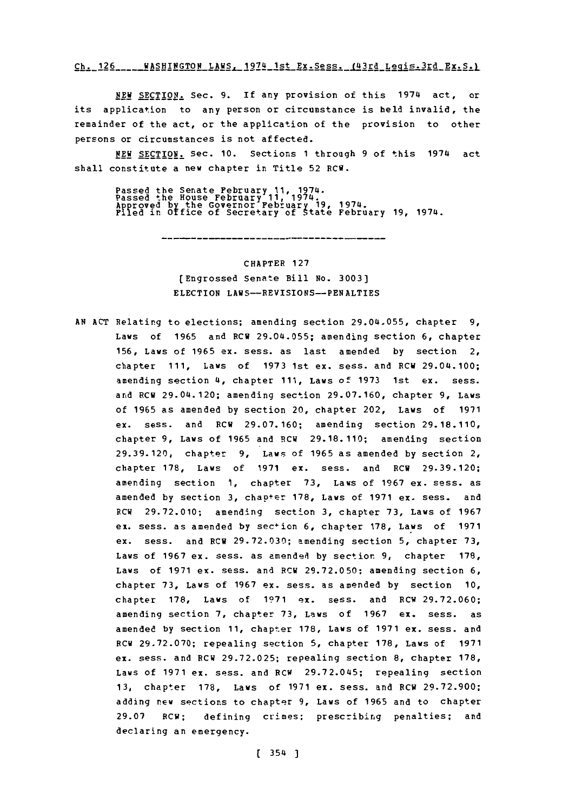### Ch. 126 **\_\_\_\_WASHINGTON LAWS. 1974 1st Ex. Sess. (43rd Legis. 3rd Ex. S.)**

**NEW SECTION.** Sec. **9.** If any provision of this 1974 act, or its application to any person or circumstance is held invalid, the remainder of the act, or the application of the provision to other persons or circumstances is not affected.

**NEW** SECTION. Sec. **10.** Sections **1** through **9** of this 1974 act shall constitute a new chapter in Title **52 RCW.**

Passed the Senate February 11, 1974.<br>Passed the House February 11, 1974.<br>Approved by the Governor Pebruary 19, 1974.<br>Filed in Office of Secretary of State February 19, 1974.

........................

CHAPTER **127** (Engrossed Senate Bill No. **3003]** ELECTION LAWS--REVISIONS--PENALTIES

**AN ACT** Relating to elections; amending section 29.04.055, chapter **9,** Laws of **1965** and RCW 29.04.055; amending section **6,** chapter **156,** Laws of **1965** ex. sess. as last amended **by** section 2, chapter **111,** Laws of **1973** 1st ex. sess. and RCW 29.04.100; amending section 4, chapter **111,** Laws of **1973** 1st ex. sess. and RCW 29.04.120; amending section **29.07.160,** chapter **9,** Laws of **1965** as amended **by** section 20, chapter 202, Laws of **1971** ex. sess. and RCW **29.07.160;** amending section **29.18.110,** chapter **9,** Laws of **1965** and RCW **29.18.110;** amending section **29.39.120,** chapter **9,** Laws of **1965** as amended **by** section 2, chapter **178,** Laws of **1971** ex. sess. and RCW **29.39.120;** amending section **1,** chapter **73,** Laws of **1967** ex. sess. as amended **by** section **3,** chapter **178,** Laws of **1971** ex. sess. and RCW **29.72.010;** amending section **3,** chapter **73,** Laws of **1967** ex. sess. as amended **by** section **6,** chapter **178,** Laws of **<sup>1971</sup>** ex. sess. and RCW **29.72.030;** amending section **5,** chapter **73,** Laws of **1967** ex. sess. as amendedi **by** section **9,** chapter **178,** Laws of **1971** ex. sess. and RCW **29.72.050;** amending section **6,** chapter **73,** Laws of **1967** ex. sess. as amended **by** section **10,** chapter **178,** Laws of **1971** ex. sess. and PCW **29.72.060;** amending section **7,** chapter **73,** Laws of **1967** ex. sess. as amended **by** section **11,** chapter **178,** Laws of **1971** ex. sess. and RCW **29.72.070;** repealing section **5,** chapter **178,** Laws of **1971** ex. sess. and RCW **29.72.025;** repealing section **8,** chapter **178,** Laws of **1971** ex. sess. and RCW **29.72.045;** repealing section **13,** chapter **178,** Laws of **1971** ex. sess. and RCW **29.72.900;** adding new sections to chapter **9,** Laws of **1965** and to chapter **29.07 RCW;** defining crimes; prescribing penalties; and declaring an emergency.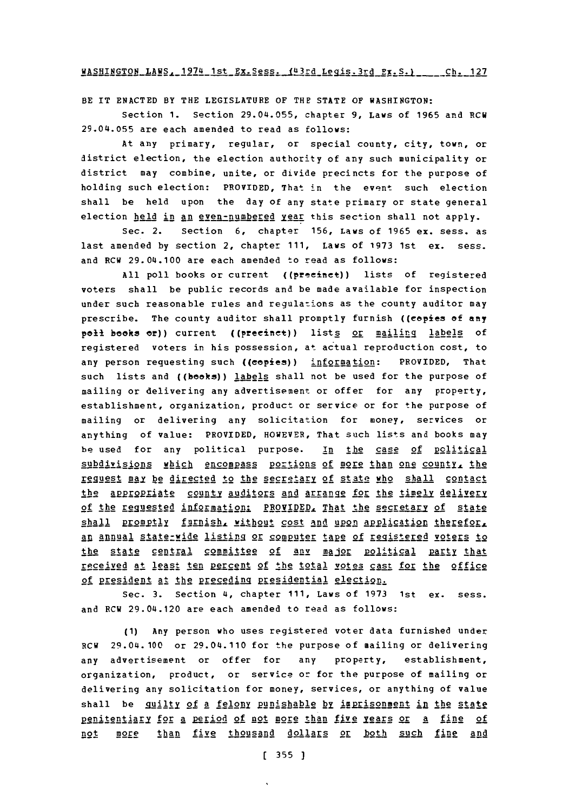**WA1;NTPJ(T0N I.AWSR 1()74 1sqt** IU~r **fL11 yii** *1, vT5* **q-11 C** h **127**

BE IT **ENACTED** BY THE LEGISLATURE OF THE **STATE OF** WASHINGTON:

Section **1.** Section 29.04.055, chapter **9,** Laws of **1965** and RCW 29.04j.055 are each amended to read as follows:

At any primary, regular, or special county, city, town, or district election, the election authority of any such municipality or district may combine, unite, or divide precincts for the purpose of holding such election: PROVIDED, That in the event such election shall be held upon the day of any state primary or state general election held in an even-numbered year this section shall not apply.

Sec. 2. Section **6,** chapter **156,** Laws of **1965 ex.** sess. as last amended **by** section 2, chapter **111,** Laws of **1973** 1st ex. sess. and RCW 29.04.100 are each amended to read as follows:

**All** poll books or current ((precinct)) lists of registered voters shall be public records and be made available for inspection under such reasonable rules and regulations as the county auditor may prescribe. The county auditor shall promptly furnish ((copies **of** any **poll books or)) current ((precinct)) lists or mailing labels of** registered voters in his possession, at- actual reproduction cost, to any person requesting such ((cepies)) information: PROVIDED, That such lists and ((books)) labels shall not be used for the purpose of mailing or delivering any advertisement or offer for any property, establishment, organization, product or service or for the purpose of mailing or delivering any solicitation for money, services or anything of value: PROVIDED, HOWEVER, That such lists and books may be used for any political purpose. In the case **Of** political subdivisions which encompass portions of more than one county, the request may be directed to the secretary of state who shall contact the appropriate county auditors and arrange for the timely delivery of the requested information: PROVIDED, That the secretary of state shall promptly furnish, without cost and upon application therefor, an annual state-wide listing or computer tape of registered voters to the state central committee of any major political party that recetived at least ten percent **of** the total votes cast for the office of president at the preceding presidential election.

Sec. 3. Section 4, chapter 111, Laws of 1973 1st ex. sess. and RCW 29.04.120 are each amended to read as follows:

**(1)** Any person who uses registered voter data furnished under RCW 29.04.100 or 29.04.110 for the purpose of mailing or delivering any advertisement or offer for any property, establishment, organization, product, or service or for the purpose of mailing or delivering any solicitation for money, services, or anything of value shall be \_quilty **2f** 2 felon! punishable **by** imprisonment ip the state penitentiary for a period of not more than five years or a fine of not more **than** five thousand dollars or both such fine and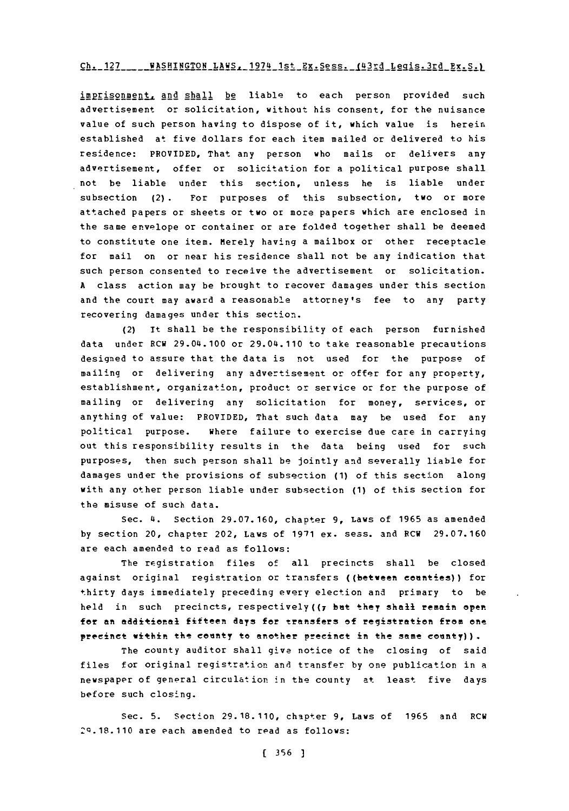### **Ch. 127 -WASHINGTON LAWS. 1974** 1st Ex.Sess..\_\_143rdLegqis.3rd Ex.S.L

imprisonment, and shall be liable to each person provided such advertisement or solicitation, without his consent, for the nuisance value of such person having to dispose of it, which value is herein established at five dollars for each item mailed or delivered to his residence: PROVIDED, That any person who mails or delivers any advertisement, offer or solicitation for a political purpose shall not be liable under this section, unless he is liable under subsection (2). For purposes of this subsection, two or more attached papers or sheets or two or more papers which are enclosed in the same envelope or container or are folded together shall be deemed to constitute one item. merely having a mailbox or other receptacle for mail on or near his residence shall not be any indication that such person consented to receive the advertisement or solicitation. **A** class action may be brought to recover damages under this section and the court may award a reasonable attorney's fee to any party recovering damages under this section.

(2) It shall be the responsibility of each person furnished data under RCW 29.04.100 or 29.04.110 to take reasonable precautions designed to assure that the data is not used for the purpose of mailing or delivering any advertisement or offer for any property, establishment, organization, product or service or for the purpose of mailing or delivering any solicitation for money, services, or anything of value: PROVIDED, That such data may be used for any political purpose. Where failure to exercise due care in carrying out this responsibility results in the data being used for such purposes, then such person shall be jointly and severally liable for damages under the provisions of subsection **(1)** of this section along with any other person liable under subsection **(1)** of this section for the misuse of such data.

Sec. 4. Section **29.07. 160,** chapter **9,** Laws of **1965** as amended **by** section 20, chapter 202, Laws of **1971** ex. sess. and RCW **29.07.160** are each amended to read as follows:

The registration files of all precincts shall be closed against original registration or transfers ((between counties)) for thirty days immediately preceding every election and primary to be **held** in such precincts, respectively((7 hat they shall remain open for an additional fifteen days for transfers of registration from one precinct within the county to another precinct in the same county)).

The county auditor shall give notice of the closing of said files for original registration and transfer **by** one publication in a newspaper of general circulation in the county at least five days before such closing.

Sec. **5.** Section **29.18.110,** chapter **9,** Laws of **1965** and RCW **2Q.18.110** are each amended to read as follows: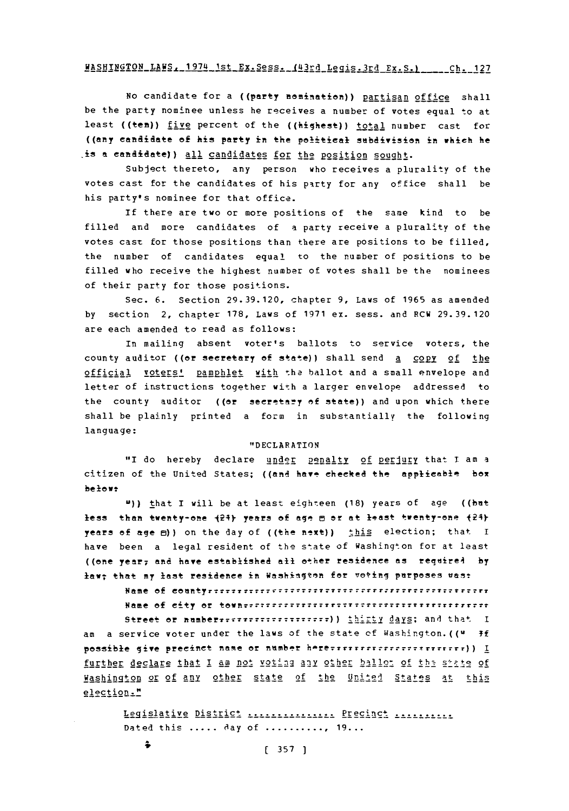# **WASHINGTON LANS.** 1974 1st Ex.Sess. 143rd Legis.3rd Ex **S.1** Ch 127

No candidate for a ((party nomination)) partisan office shall be the party nominee unless he receives a number of votes equal to at least ((ten)) five percent of the ((highest)) total number cast for ((any candidate **eo** his party in the politieel subdivisien in which he is **a** eandidate)) all candidates for the Position sought.

Subject thereto, any person who receives a plurality of the votes cast for the candidates of his party for any office shall be his party's nominee for that office.

If there are two or more positions of the same kind to be filled and more candidates of a party receive a plurality of the votes cast for those positions than there are positions to be filled, the number of candidates equal to the number of positions to be filled who receive the highest number of votes shall be the nominees of their party for those positions.

Sec. **6.** Section **29.39.120,** chapter **9,** Laws of **1965** as amended **by** section 2, chapter **178,** Laws of **1971** ex. sess. and RCW **29.39.120** are each amended to read as follows:

In mailing absent voter's ballots to service voters, the county auditor ((or secretary **of** state)) shall send a copy **of** the official voters' pamphlet with the ballot and a small envelope and letter of instructions together with a larger envelope addressed to the county auditor ((or secretary of state)) and upon which there shall be plainly printed a form in substantially the following language:

#### "DECLARATION

"I do hereby declare under penalty of perjury that I am a citizen of the United States; ((and have checked the applicable **box** belowt

**U))** that I will be at least eighteen **(18)** years of age ((but less than twenty-one **124y** years **of** age **E** or at least twenty-one **p24y** years of age  $\Theta$ )) on the day of ((the next)) this election; that I have been a legal resident of the state of Washington for at least ((one year7 and have established **all** ether residence as regired **by** law; that my last residence in Washington for veting purposes was:

> Name **of** COntyrrrrTy 77 rrrrrr rrTrr7r rrrrT7rrrrrTr Name of city or ton:77rr 77r7rr7 rrrrr7777?rr7rrrrTrrr

Street or number<sub>TrTT7</sub>T<sub>T7</sub>T<sub>T7</sub>+1, Thirty days; and that I am a service voter under the laws of the state **of** Washington.((u **Tf** possible give precinct name or number herezitiiiiiiiiiiiiiiiiiiiii)) I further declare that I am not voting any other ballon of the shate of Washington or of any other state of the United States at this election."

Legislative Distric. ....... **........** Precinct **..........** Dated this **.....** Oay **of ..........., 19...**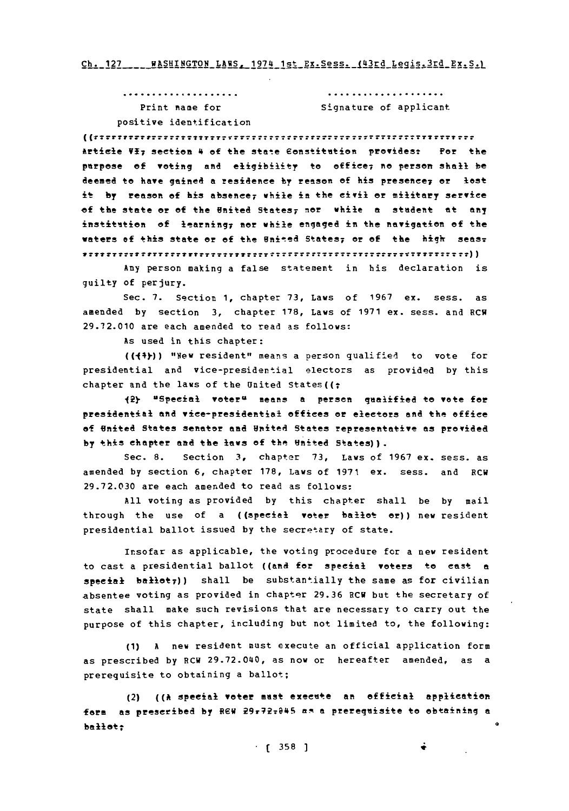Ch. 127 ... WASHINGTON LAWS, 1974 1st Ex. Sess. 143rd Legis.3rd Ex. S.1

| Print mame for          | Signature of applicant |
|-------------------------|------------------------|
| positive identification |                        |

 $\label{def:1} \begin{minipage}{0.9\textwidth} \begin{minipage}{0.9\textwidth} \centering \begin{minipage}{0.9\textwidth} \centering \end{minipage} \begin{minipage}{0.9\textwidth} \centering \begin{minipage}{0.9\textwidth} \centering \end{minipage} \begin{minipage}{0.9\textwidth} \centering \end{minipage} \begin{minipage}{0.9\textwidth} \centering \begin{minipage}{0.9\textwidth} \centering \end{minipage} \begin{minipage}{0.9\textwidth} \centering \end{minipage} \begin{minipage}{0.9\textwidth} \centering \begin{minipage}{0.9\$ Artcle **V17** section 4 **of** the state eonstttion providest **For** the purpose of voting and eligibility to office; no person shall be deemed to have gained **a** residence **by** reason **of** his presenee7 **Or** lost it **by** reason of his absence; while in the civil or military service **of** the state or of the United States; nor while **a** studente at any institation of learning; nor while engaged in the navigation of the **waters of this state or of the United States; or of the high seas. V77T777777** ..............................?T7TTTTTT7TTT7T7?T77))

Any person making a false statement in his declaration is guilty of perjury.

Sec. **7.** Section **1,** chapter **73,** Laws of **1967** ex. sess. as amended **by** section **3,** chapter **178,** Laws of **1971** ex. sess. and RCW **29.72.010** are each amended to read as follows:

As used in this chapter:

 $($ ( $+$ )) "New resident" means a person qualified to vote for presidential and vice-presidential electors as provided **by** this chapter and the laws of the United States( $(t)$ 

12) ugpeeial vateru means **a** persen qualified to vote for presidential and vice-presidential of fices or electors and the office **of** United States senator **and** Unied States representative as provided **by** this chapter amd the laws **of** the United States)).

Sec. **8.** Section **3,** chapter **73,** Laws of **1967** ex. sass. as amended **by** section **6,** chapter **178,** Laws of **1971** ex. sass, and BCW **29.72.030** are each amernded to read as follows:

**All** voting as provided **by** this chapter shall he **by** mail through the use of a ((special voter ballot or)) new resident presidential ballot issued **by** the secretary of state.

insofar as applicable, the voting procedure for a new resident to cast a presidential ballot **((aRd** for speeial voters to east **a** special ballet<sub>7</sub>)) shall be substantially the same as for civilian absentee voting as provided in chapter **29.36** RCW but the secretary of state shall make such revisions that are necessary to carry out the purpose of this chapter, including but not limited to, the following:

**(1) A** new resident must execute an official application form as prescribed by RCW 29.72.040, as now or hereafter amended, as a prerequisite to obtaining a ballot;

(2) **((A** special woter must exeette an official application form as preseribed **by REV** <sup>29</sup> 7 72re45 aR a prerequisite to obtaining **<sup>a</sup>** ballet:

**. ( 358 1** *Ii*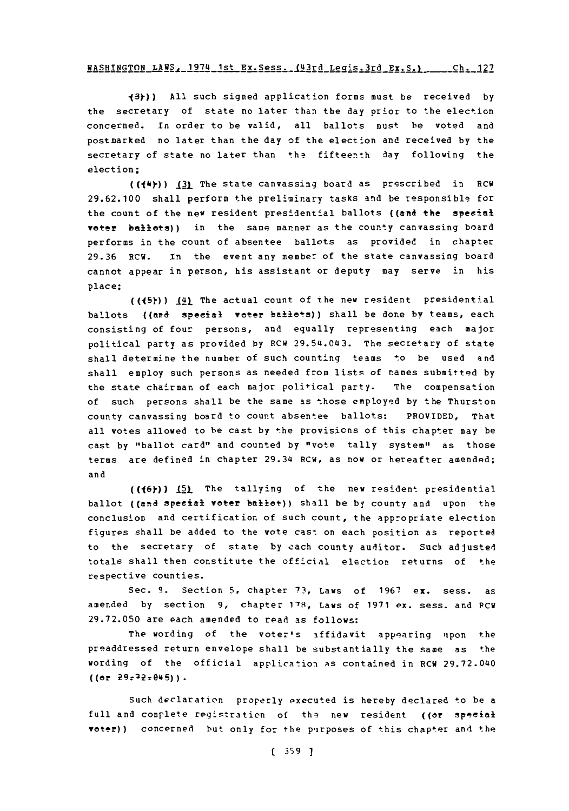## WASHINGTON LAWS, 1974 1st Ex.Sess., 4113d klis .3rd **EX.S.)** h 2 **gh 127**

**13y)) All** such signed application forms must be received **by** the secretary of state no later than the day prior to the election concerned. In order to be valid, all ballots must be voted and postmarked no later than the day of the election and received **by** the secretary of state no later than the fifteenth day following the election;

((14)-)) **\_Ql** The state canvassing board as prescribed in RCW **29.62.100** shall perform the preliminary tasks and be responsible for the count of the new resident presidential ballots ((and the special voter ballets)) in the same manner as the county canvassing board performs in the count of absentee ballots as provided in chapter **29.36** RCW. In~ the event any member of the state canvassing board cannot appear in person, his assistant or deputy may serve in his place;

 $(1.45)$ )  $(4)$  The actual count of the new resident presidential ballots ((and special voter ballots)) shall be done by teams, each consisting of four persons, and equally representing each major political party as provided **by** RCW 29.54.043. The secretary of state shall determine the number of such counting teams to be used and shall employ such persons as needed from lists of names submitted **by** the state chairman of each major political party. The compensation of such persons shall be the same as those employed **by** the Thurston county canvassing board to count absentee ballots: PROVIDED, That all votes allowed to be cast **by** the provisicns of this chapter may be cast **by** "ballot card" and counted **by** "vote tally system" as those terms are defined in chapter 29.34 RCW, as now or hereafter amended; and

**((16y~)) J5l** The tallying of the new resident presidential ballot ((and special voter ballot)) shall be by county and upon the conclusion and certification of such count, the appropriate election figures shall be added to the vote cast on each position as reported to the secretary **of** state **by** each county auditor. Such adjusted totals shall then constitute the official election returns of the respective counties.

Sec. **9.** Section **5,** chapter **73,** Laws of **1967** ex. sess. as amended **by** section **9,** chapter **1'8,** Laws of **1971 ex.** sess. and **PCW 29.72.050** are each amended to read as follows:

The wording of the voter's affidavit appearing upon the preaddressed return envelope shall be substantially the same as the wording of the official application as contained in RCW 29.72.040  $((or 29.72.045))$ .

Such declaration properly executed is hereby declared to be a full and complete registration of the new resident ((or special voter)) concerned but only for the purposes of this chapter and the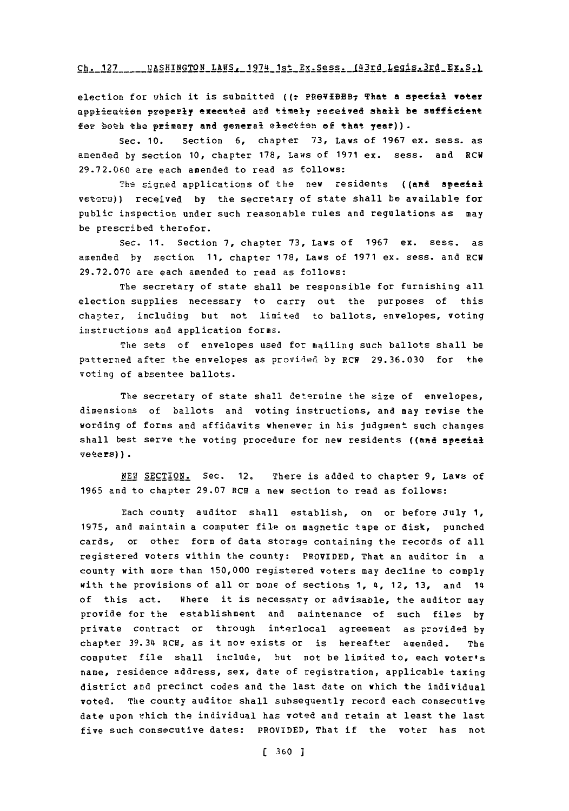#### Ch. 127 ... BASHINGTON LAWS. 1974 1st Ex. Sess. 143rd Legis.3rd Ex. S. 1

election for which it is submitted ((: PROVIBBB<sub>7</sub> That a special voter application properly executed and timely received shall be sufficient for both the primary and general election of that year)).

Sec. **10.** Section **6,** chapter **73,** Laws of **1967** ex. sess. as amended **by** section **10,** chapter **178,** Laws of **1971** ex. sess. and RCV **29.72.060** are each amended to read as follows:

The signed applications of the new residents ((and special vetors)) received by the secretary of state shall be available for public inspection under such reasonable rules and regulations as may be prescribed therefor.

Sec. **11.** Section **7,** chapter **73,** Laws of **1967** ex. sess. as amended **by** section **11,** chapter **178,** Laws of **1971** ex. sess. and ECU **29.72.070** are each amended to read as follows:

The secretary of state shall be responsible for furnishing all election supplies necessary to carry out the purposes of this chapter, including but not limited to ballots, envelopes, voting instructions and application forms.

The sets of envelopes used for mailing such ballots shall be patterned after the envelopes as provided **by** RCN **29.36.030** for the voting of absentee ballots.

The secretary of state shall determine the size of envelopes, dimensions of ballots and voting instructions, and may revise the wording of forms and affidavits whenever in his judgment such changes shall best serve the voting procedure for new residents ((and special veters)).

*NEW1* **SECTION.** Sec. 12, There is added to chapter **9,** Laws of **1965** and to chapter **29.07** RCR a new section to read as follows:

Each county auditor shall establish, on or before July **1, 1975,** and maintain a computer file on magnetic tape or disk, punched cards, or other form of data storage containing the records of all registered voters within the county: PROVIDED, That an auditor in a county with more than **150,000** registered voters may decline to comply with the provisions of all or none of sections **1, 4, 12, 13, and 14** of this act. Where it is necessary or advisable, the auditor may provide for the establishment and maintenance of such files **by** private contract or through interlocal agreement as provided **by** chapter 39.34 8CH, as it now exists or is hereafter amended. The computer file shall include, but not be limited to, each voter's name, residence address, sex, date of registration, applicable taxing district and precinct codes and the last date on which the individual voted. The county auditor shall subsequently record each consecutive date upon which the individual has voted and retain at least the last five such consecutive dates: PROVIDED, That if the voter has not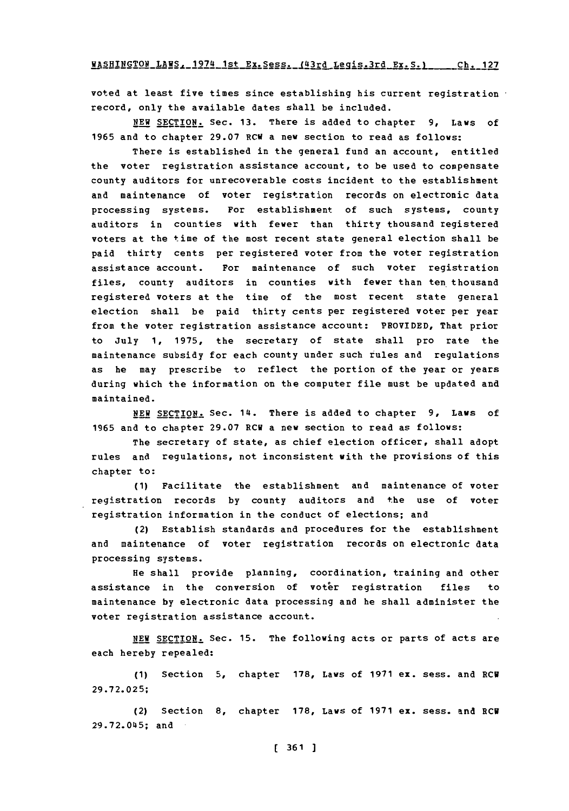WASHINGTON **LAWS,** 1974 1St Ex.Sess, (43rd Lpaig-Ird **Ex.S-i 1 Ch.**  rh- **177**

voted at least five times since establishing his current registration record, only the available dates shall be included.

**NEW SECTION.** Sec. **13.** There is added to chapter **9,** Laws of 1965 and to chapter 29.07 RCW a new section to read as follows:

There is established in the general fund an account, entitled the voter registration assistance account, to be used to compensate county auditors for unrecoverable costs incident to the establishment and maintenance of voter registration records on electronic data processing systems. For establishment of such systems, county auditors in counties with fewer than thirty thousand registered voters at the time of the most recent state general election shall be paid thirty cents per registered voter from the voter registration assistance account. For maintenance of such voter registration files, county auditors in counties with fewer than ten thousand registered voters at the time of the most recent state general election shall be paid thirty cents per registered voter per year from the voter registration assistance account: PROVIDED, That prior to July **1, 1975,** the secretary of state shall pro rate the maintenance subsidy for each county under such rules and regulations as he may prescribe to reflect the portion of the year or years during which the information on the computer file must be updated and maintained.

**NEW SECTION.** Sec. 14. There is added to chapter **9,** Laws of **1965** and to chapter **29.07** RCW a new section to read as follows:

The secretary of state, as chief election officer, shall adopt rules and regulations, not inconsistent with the provisions of this chapter to:

**(1)** Facilitate the establishment and maintenance of voter registration records **by** county auditors and the use of voter registration information in the conduct of elections; and

(2) Establish standards and procedures for the establishment and maintenance of voter registration records on electronic data processing systems.

He shall provide planning, coordination, training and other assistance in the conversion of voter registration files to maintenance **by** electronic data processing and he shall administer the voter registration assistance account.

**NEW SECTION.** Sec. **15.** The following acts or parts of acts are each hereby repealed:

**(1)** Section **5,** chapter **178,** Laws of **1971** ex. sess. and RCU **29 .72. 02 5;**

(2) Section **8,** chapter **178,** Laws of **1971** ex. sess. and RCU **29.72.045;** and